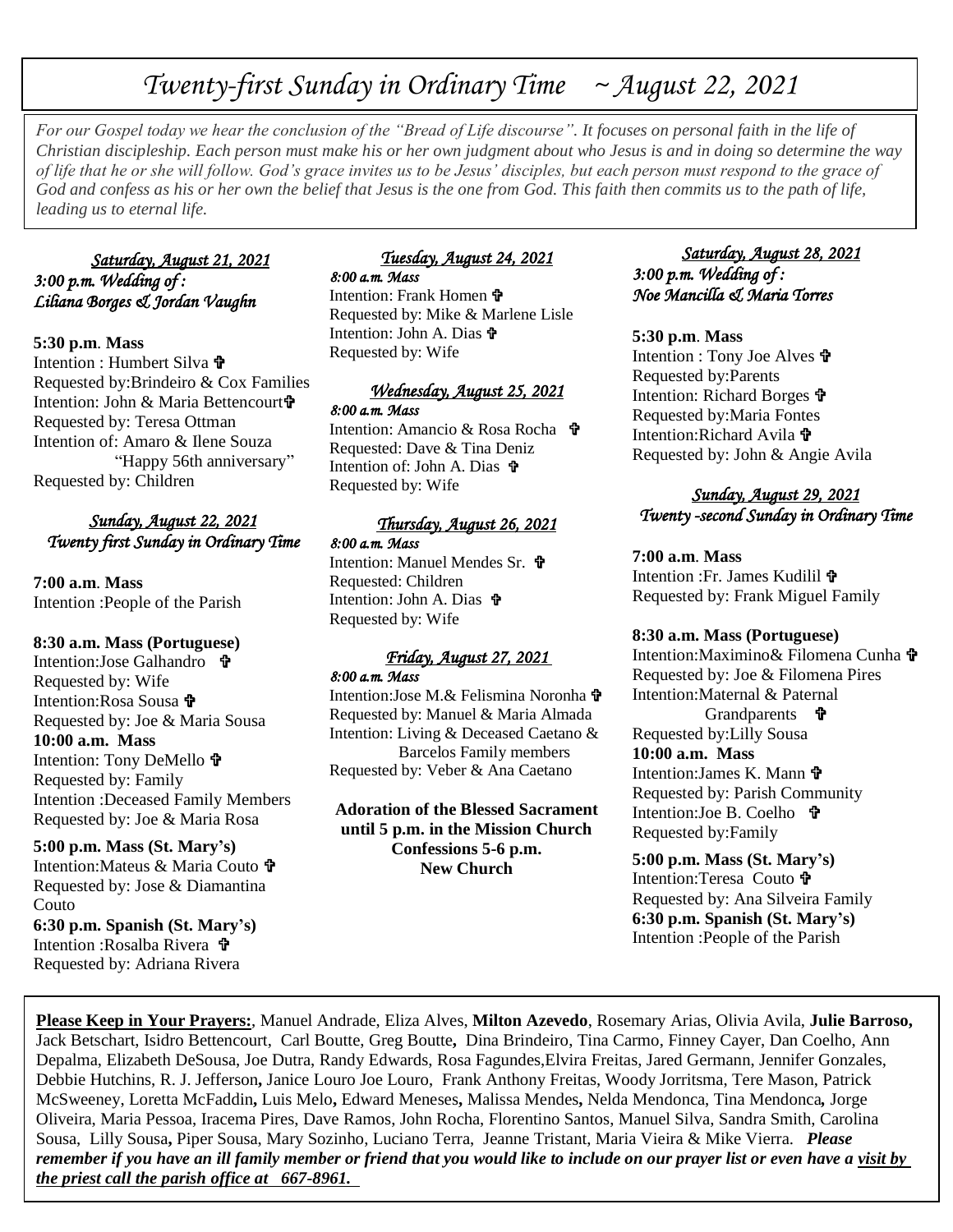# *Twenty-first Sunday in Ordinary Time ~ August 22, 2021*

*For our Gospel today we hear the conclusion of the "Bread of Life discourse". It focuses on personal faith in the life of Christian discipleship. Each person must make his or her own judgment about who Jesus is and in doing so determine the way of life that he or she will follow. God's grace invites us to be Jesus' disciples, but each person must respond to the grace of God and confess as his or her own the belief that Jesus is the one from God. This faith then commits us to the path of life, leading us to eternal life.*

# *Saturday, August 21, 2021 3:00 p.m. Wedding of : Liliana Borges & Jordan Vaughn*

## **5:30 p.m**. **Mass**

Intention : Humbert Silva Requested by:Brindeiro & Cox Families Intention: John & Maria Bettencourt Requested by: Teresa Ottman Intention of: Amaro & Ilene Souza "Happy 56th anniversary" Requested by: Children

# *Sunday, August 22, 2021 Twenty first Sunday in Ordinary Time*

**7:00 a.m**. **Mass** Intention :People of the Parish

## **8:30 a.m. Mass (Portuguese)**

Intention:Jose Galhandro Requested by: Wife Intention:Rosa Sousa Requested by: Joe & Maria Sousa **10:00 a.m. Mass** Intention: Tony DeMello Requested by: Family Intention :Deceased Family Members Requested by: Joe & Maria Rosa

**5:00 p.m. Mass (St. Mary's)** Intention: Mateus & Maria Couto  $\mathbf{\hat{P}}$ Requested by: Jose & Diamantina Couto **6:30 p.m. Spanish (St. Mary's)** Intention :Rosalba Rivera Requested by: Adriana Rivera

#### *Tuesday, August 24, 2021 8:00 a.m. Mass*

Intention: Frank Homen Requested by: Mike & Marlene Lisle Intention: John A. Dias Requested by: Wife

#### *Wednesday, August 25, 2021 8:00 a.m. Mass*

Intention: Amancio & Rosa Rocha Requested: Dave & Tina Deniz Intention of: John A. Dias Requested by: Wife

### *Thursday, August 26, 2021 8:00 a.m. Mass*

Intention: Manuel Mendes Sr. **t** Requested: Children Intention: John A. Dias Requested by: Wife

#### *Friday, August 27, 2021 8:00 a.m. Mass*

Intention:Jose M.& Felismina Noronha Requested by: Manuel & Maria Almada Intention: Living & Deceased Caetano & Barcelos Family members Requested by: Veber & Ana Caetano

**Adoration of the Blessed Sacrament until 5 p.m. in the Mission Church Confessions 5-6 p.m. New Church**

 *Saturday, August 28, 2021 3:00 p.m. Wedding of : Noe Mancilla & Maria Torres* 

#### **5:30 p.m**. **Mass**

Intention : Tony Joe Alves Requested by:Parents Intention: Richard Borges Requested by:Maria Fontes Intention:Richard Avila Requested by: John & Angie Avila

### *Sunday, August 29, 2021 Twenty -second Sunday in Ordinary Time*

**7:00 a.m**. **Mass** Intention :Fr. James Kudilil Requested by: Frank Miguel Family

## **8:30 a.m. Mass (Portuguese)**

Intention:Maximino& Filomena Cunha Requested by: Joe & Filomena Pires Intention:Maternal & Paternal Grandparents  $\mathbf{\hat{\mathbf{F}}}$ Requested by:Lilly Sousa **10:00 a.m. Mass** Intention: James K. Mann **th** Requested by: Parish Community Intention:Joe B. Coelho **t** Requested by:Family

**5:00 p.m. Mass (St. Mary's)** Intention:Teresa Couto Requested by: Ana Silveira Family **6:30 p.m. Spanish (St. Mary's)** Intention :People of the Parish

**Please Keep in Your Prayers:**, Manuel Andrade, Eliza Alves, **Milton Azevedo**, Rosemary Arias, Olivia Avila, **Julie Barroso,** Jack Betschart, Isidro Bettencourt, Carl Boutte, Greg Boutte**,** Dina Brindeiro, Tina Carmo, Finney Cayer, Dan Coelho, Ann Depalma, Elizabeth DeSousa, Joe Dutra, Randy Edwards, Rosa Fagundes,Elvira Freitas, Jared Germann, Jennifer Gonzales, Debbie Hutchins, R. J. Jefferson**,** Janice Louro Joe Louro, Frank Anthony Freitas, Woody Jorritsma, Tere Mason, Patrick McSweeney, Loretta McFaddin**,** Luis Melo**,** Edward Meneses**,** Malissa Mendes**,** Nelda Mendonca, Tina Mendonca*,* Jorge Oliveira, Maria Pessoa, Iracema Pires, Dave Ramos, John Rocha, Florentino Santos, Manuel Silva, Sandra Smith, Carolina Sousa, Lilly Sousa**,** Piper Sousa, Mary Sozinho, Luciano Terra, Jeanne Tristant, Maria Vieira & Mike Vierra. *Please remember if you have an ill family member or friend that you would like to include on our prayer list or even have a visit by the priest call the parish office at 667-8961.*